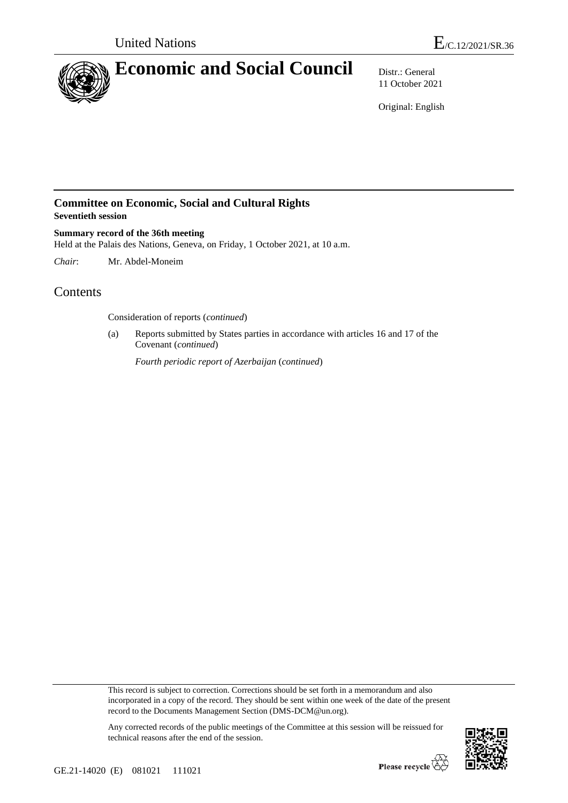

11 October 2021

Original: English

## **Committee on Economic, Social and Cultural Rights Seventieth session**

**Summary record of the 36th meeting** Held at the Palais des Nations, Geneva, on Friday, 1 October 2021, at 10 a.m.

*Chair*: Mr. Abdel-Moneim

## Contents

Consideration of reports (*continued*)

(a) Reports submitted by States parties in accordance with articles 16 and 17 of the Covenant (*continued*)

*Fourth periodic report of Azerbaijan* (*continued*)

This record is subject to correction. Corrections should be set forth in a memorandum and also incorporated in a copy of the record. They should be sent within one week of the date of the present record to the Documents Management Section (DMS-DCM@un.org).

Any corrected records of the public meetings of the Committee at this session will be reissued for



technical reasons after the end of the session.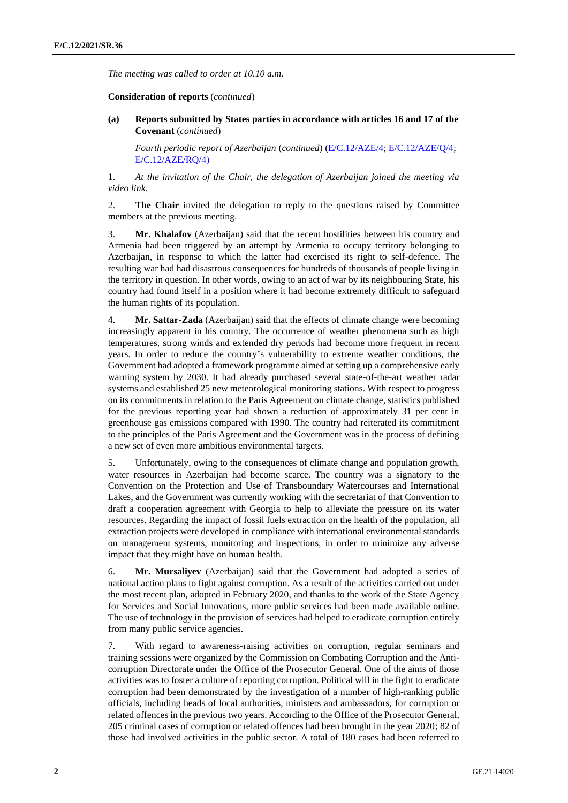*The meeting was called to order at 10.10 a.m.*

**Consideration of reports** (*continued*)

**(a) Reports submitted by States parties in accordance with articles 16 and 17 of the Covenant** (*continued*)

*Fourth periodic report of Azerbaijan* (*continued*) [\(E/C.12/AZE/4;](https://undocs.org/en/E/C.12/AZE/4) [E/C.12/AZE/Q/4;](https://undocs.org/en/E/C.12/AZE/Q/4) [E/C.12/AZE/RQ/4\)](https://undocs.org/en/E/C.12/AZE/RQ/4))

1. *At the invitation of the Chair, the delegation of Azerbaijan joined the meeting via video link.*

2. **The Chair** invited the delegation to reply to the questions raised by Committee members at the previous meeting.

3. **Mr. Khalafov** (Azerbaijan) said that the recent hostilities between his country and Armenia had been triggered by an attempt by Armenia to occupy territory belonging to Azerbaijan, in response to which the latter had exercised its right to self-defence. The resulting war had had disastrous consequences for hundreds of thousands of people living in the territory in question. In other words, owing to an act of war by its neighbouring State, his country had found itself in a position where it had become extremely difficult to safeguard the human rights of its population.

4. **Mr. Sattar-Zada** (Azerbaijan) said that the effects of climate change were becoming increasingly apparent in his country. The occurrence of weather phenomena such as high temperatures, strong winds and extended dry periods had become more frequent in recent years. In order to reduce the country's vulnerability to extreme weather conditions, the Government had adopted a framework programme aimed at setting up a comprehensive early warning system by 2030. It had already purchased several state-of-the-art weather radar systems and established 25 new meteorological monitoring stations. With respect to progress on its commitments in relation to the Paris Agreement on climate change, statistics published for the previous reporting year had shown a reduction of approximately 31 per cent in greenhouse gas emissions compared with 1990. The country had reiterated its commitment to the principles of the Paris Agreement and the Government was in the process of defining a new set of even more ambitious environmental targets.

5. Unfortunately, owing to the consequences of climate change and population growth, water resources in Azerbaijan had become scarce. The country was a signatory to the Convention on the Protection and Use of Transboundary Watercourses and International Lakes, and the Government was currently working with the secretariat of that Convention to draft a cooperation agreement with Georgia to help to alleviate the pressure on its water resources. Regarding the impact of fossil fuels extraction on the health of the population, all extraction projects were developed in compliance with international environmental standards on management systems, monitoring and inspections, in order to minimize any adverse impact that they might have on human health.

6. **Mr. Mursaliyev** (Azerbaijan) said that the Government had adopted a series of national action plans to fight against corruption. As a result of the activities carried out under the most recent plan, adopted in February 2020, and thanks to the work of the State Agency for Services and Social Innovations, more public services had been made available online. The use of technology in the provision of services had helped to eradicate corruption entirely from many public service agencies.

7. With regard to awareness-raising activities on corruption, regular seminars and training sessions were organized by the Commission on Combating Corruption and the Anticorruption Directorate under the Office of the Prosecutor General. One of the aims of those activities was to foster a culture of reporting corruption. Political will in the fight to eradicate corruption had been demonstrated by the investigation of a number of high-ranking public officials, including heads of local authorities, ministers and ambassadors, for corruption or related offences in the previous two years. According to the Office of the Prosecutor General, 205 criminal cases of corruption or related offences had been brought in the year 2020; 82 of those had involved activities in the public sector. A total of 180 cases had been referred to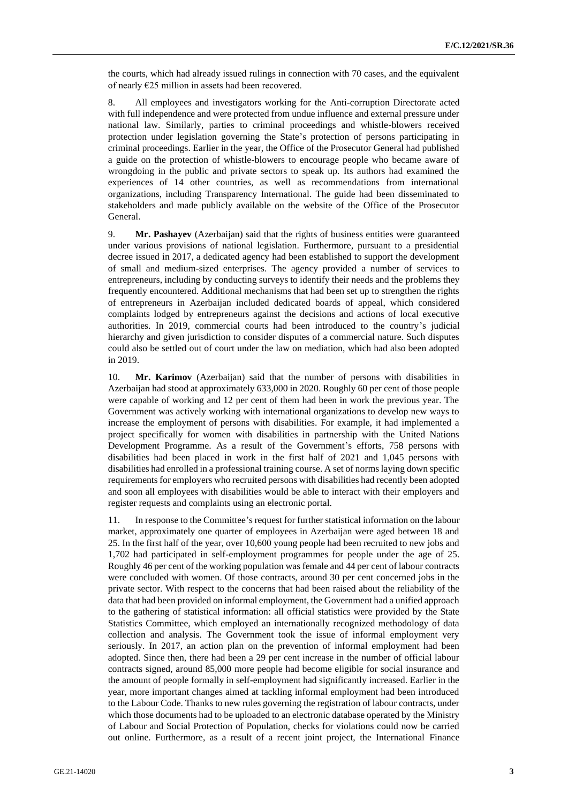the courts, which had already issued rulings in connection with 70 cases, and the equivalent of nearly  $E25$  million in assets had been recovered.

8. All employees and investigators working for the Anti-corruption Directorate acted with full independence and were protected from undue influence and external pressure under national law. Similarly, parties to criminal proceedings and whistle-blowers received protection under legislation governing the State's protection of persons participating in criminal proceedings. Earlier in the year, the Office of the Prosecutor General had published a guide on the protection of whistle-blowers to encourage people who became aware of wrongdoing in the public and private sectors to speak up. Its authors had examined the experiences of 14 other countries, as well as recommendations from international organizations, including Transparency International. The guide had been disseminated to stakeholders and made publicly available on the website of the Office of the Prosecutor General.

9. **Mr. Pashayev** (Azerbaijan) said that the rights of business entities were guaranteed under various provisions of national legislation. Furthermore, pursuant to a presidential decree issued in 2017, a dedicated agency had been established to support the development of small and medium-sized enterprises. The agency provided a number of services to entrepreneurs, including by conducting surveys to identify their needs and the problems they frequently encountered. Additional mechanisms that had been set up to strengthen the rights of entrepreneurs in Azerbaijan included dedicated boards of appeal, which considered complaints lodged by entrepreneurs against the decisions and actions of local executive authorities. In 2019, commercial courts had been introduced to the country's judicial hierarchy and given jurisdiction to consider disputes of a commercial nature. Such disputes could also be settled out of court under the law on mediation, which had also been adopted in 2019.

10. **Mr. Karimov** (Azerbaijan) said that the number of persons with disabilities in Azerbaijan had stood at approximately 633,000 in 2020. Roughly 60 per cent of those people were capable of working and 12 per cent of them had been in work the previous year. The Government was actively working with international organizations to develop new ways to increase the employment of persons with disabilities. For example, it had implemented a project specifically for women with disabilities in partnership with the United Nations Development Programme. As a result of the Government's efforts, 758 persons with disabilities had been placed in work in the first half of 2021 and 1,045 persons with disabilities had enrolled in a professional training course. A set of norms laying down specific requirements for employers who recruited persons with disabilities had recently been adopted and soon all employees with disabilities would be able to interact with their employers and register requests and complaints using an electronic portal.

11. In response to the Committee's request for further statistical information on the labour market, approximately one quarter of employees in Azerbaijan were aged between 18 and 25. In the first half of the year, over 10,600 young people had been recruited to new jobs and 1,702 had participated in self-employment programmes for people under the age of 25. Roughly 46 per cent of the working population was female and 44 per cent of labour contracts were concluded with women. Of those contracts, around 30 per cent concerned jobs in the private sector. With respect to the concerns that had been raised about the reliability of the data that had been provided on informal employment, the Government had a unified approach to the gathering of statistical information: all official statistics were provided by the State Statistics Committee, which employed an internationally recognized methodology of data collection and analysis. The Government took the issue of informal employment very seriously. In 2017, an action plan on the prevention of informal employment had been adopted. Since then, there had been a 29 per cent increase in the number of official labour contracts signed, around 85,000 more people had become eligible for social insurance and the amount of people formally in self-employment had significantly increased. Earlier in the year, more important changes aimed at tackling informal employment had been introduced to the Labour Code. Thanks to new rules governing the registration of labour contracts, under which those documents had to be uploaded to an electronic database operated by the Ministry of Labour and Social Protection of Population, checks for violations could now be carried out online. Furthermore, as a result of a recent joint project, the International Finance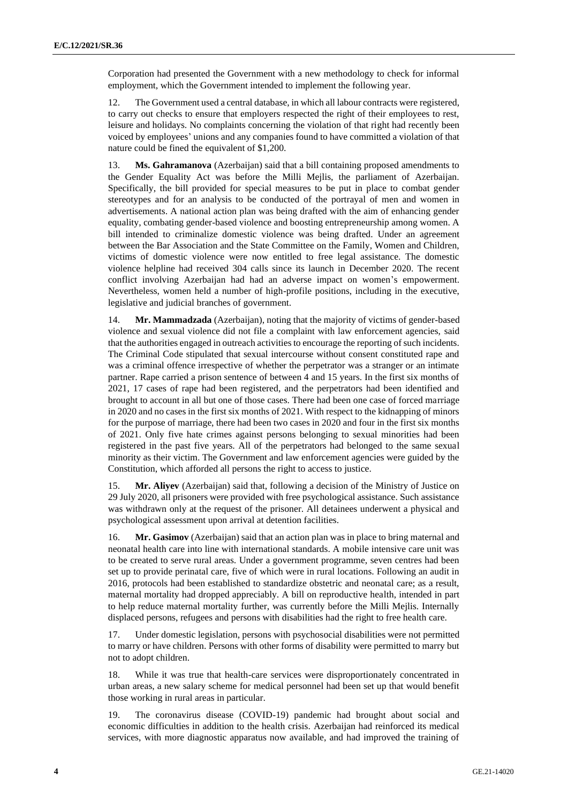Corporation had presented the Government with a new methodology to check for informal employment, which the Government intended to implement the following year.

12. The Government used a central database, in which all labour contracts were registered, to carry out checks to ensure that employers respected the right of their employees to rest, leisure and holidays. No complaints concerning the violation of that right had recently been voiced by employees' unions and any companies found to have committed a violation of that nature could be fined the equivalent of \$1,200.

13. **Ms. Gahramanova** (Azerbaijan) said that a bill containing proposed amendments to the Gender Equality Act was before the Milli Mejlis, the parliament of Azerbaijan. Specifically, the bill provided for special measures to be put in place to combat gender stereotypes and for an analysis to be conducted of the portrayal of men and women in advertisements. A national action plan was being drafted with the aim of enhancing gender equality, combating gender-based violence and boosting entrepreneurship among women. A bill intended to criminalize domestic violence was being drafted. Under an agreement between the Bar Association and the State Committee on the Family, Women and Children, victims of domestic violence were now entitled to free legal assistance. The domestic violence helpline had received 304 calls since its launch in December 2020. The recent conflict involving Azerbaijan had had an adverse impact on women's empowerment. Nevertheless, women held a number of high-profile positions, including in the executive, legislative and judicial branches of government.

14. **Mr. Mammadzada** (Azerbaijan), noting that the majority of victims of gender-based violence and sexual violence did not file a complaint with law enforcement agencies, said that the authorities engaged in outreach activities to encourage the reporting of such incidents. The Criminal Code stipulated that sexual intercourse without consent constituted rape and was a criminal offence irrespective of whether the perpetrator was a stranger or an intimate partner. Rape carried a prison sentence of between 4 and 15 years. In the first six months of 2021, 17 cases of rape had been registered, and the perpetrators had been identified and brought to account in all but one of those cases. There had been one case of forced marriage in 2020 and no cases in the first six months of 2021. With respect to the kidnapping of minors for the purpose of marriage, there had been two cases in 2020 and four in the first six months of 2021. Only five hate crimes against persons belonging to sexual minorities had been registered in the past five years. All of the perpetrators had belonged to the same sexual minority as their victim. The Government and law enforcement agencies were guided by the Constitution, which afforded all persons the right to access to justice.

15. **Mr. Aliyev** (Azerbaijan) said that, following a decision of the Ministry of Justice on 29 July 2020, all prisoners were provided with free psychological assistance. Such assistance was withdrawn only at the request of the prisoner. All detainees underwent a physical and psychological assessment upon arrival at detention facilities.

16. **Mr. Gasimov** (Azerbaijan) said that an action plan was in place to bring maternal and neonatal health care into line with international standards. A mobile intensive care unit was to be created to serve rural areas. Under a government programme, seven centres had been set up to provide perinatal care, five of which were in rural locations. Following an audit in 2016, protocols had been established to standardize obstetric and neonatal care; as a result, maternal mortality had dropped appreciably. A bill on reproductive health, intended in part to help reduce maternal mortality further, was currently before the Milli Mejlis. Internally displaced persons, refugees and persons with disabilities had the right to free health care.

17. Under domestic legislation, persons with psychosocial disabilities were not permitted to marry or have children. Persons with other forms of disability were permitted to marry but not to adopt children.

18. While it was true that health-care services were disproportionately concentrated in urban areas, a new salary scheme for medical personnel had been set up that would benefit those working in rural areas in particular.

19. The coronavirus disease (COVID-19) pandemic had brought about social and economic difficulties in addition to the health crisis. Azerbaijan had reinforced its medical services, with more diagnostic apparatus now available, and had improved the training of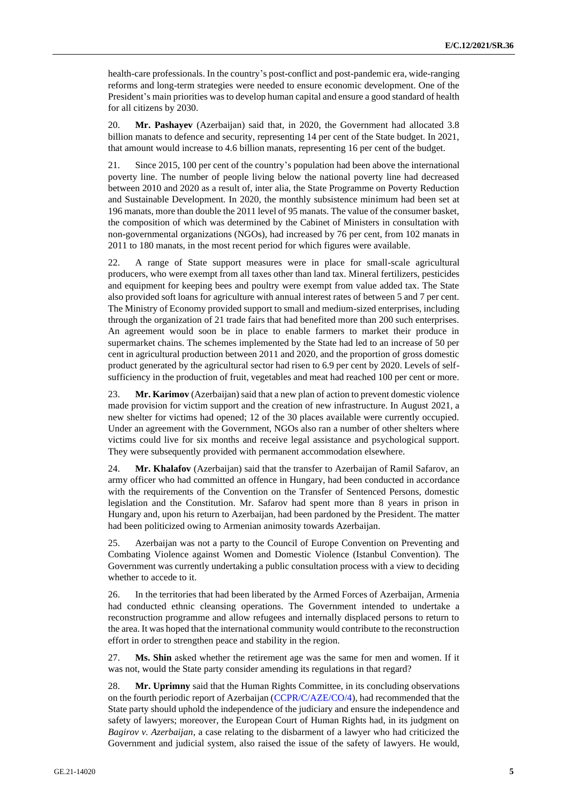health-care professionals. In the country's post-conflict and post-pandemic era, wide-ranging reforms and long-term strategies were needed to ensure economic development. One of the President's main priorities was to develop human capital and ensure a good standard of health for all citizens by 2030.

20. **Mr. Pashayev** (Azerbaijan) said that, in 2020, the Government had allocated 3.8 billion manats to defence and security, representing 14 per cent of the State budget. In 2021, that amount would increase to 4.6 billion manats, representing 16 per cent of the budget.

21. Since 2015, 100 per cent of the country's population had been above the international poverty line. The number of people living below the national poverty line had decreased between 2010 and 2020 as a result of, inter alia, the State Programme on Poverty Reduction and Sustainable Development. In 2020, the monthly subsistence minimum had been set at 196 manats, more than double the 2011 level of 95 manats. The value of the consumer basket, the composition of which was determined by the Cabinet of Ministers in consultation with non-governmental organizations (NGOs), had increased by 76 per cent, from 102 manats in 2011 to 180 manats, in the most recent period for which figures were available.

22. A range of State support measures were in place for small-scale agricultural producers, who were exempt from all taxes other than land tax. Mineral fertilizers, pesticides and equipment for keeping bees and poultry were exempt from value added tax. The State also provided soft loans for agriculture with annual interest rates of between 5 and 7 per cent. The Ministry of Economy provided support to small and medium-sized enterprises, including through the organization of 21 trade fairs that had benefited more than 200 such enterprises. An agreement would soon be in place to enable farmers to market their produce in supermarket chains. The schemes implemented by the State had led to an increase of 50 per cent in agricultural production between 2011 and 2020, and the proportion of gross domestic product generated by the agricultural sector had risen to 6.9 per cent by 2020. Levels of selfsufficiency in the production of fruit, vegetables and meat had reached 100 per cent or more.

23. **Mr. Karimov** (Azerbaijan) said that a new plan of action to prevent domestic violence made provision for victim support and the creation of new infrastructure. In August 2021, a new shelter for victims had opened; 12 of the 30 places available were currently occupied. Under an agreement with the Government, NGOs also ran a number of other shelters where victims could live for six months and receive legal assistance and psychological support. They were subsequently provided with permanent accommodation elsewhere.

24. **Mr. Khalafov** (Azerbaijan) said that the transfer to Azerbaijan of Ramil Safarov, an army officer who had committed an offence in Hungary, had been conducted in accordance with the requirements of the Convention on the Transfer of Sentenced Persons, domestic legislation and the Constitution. Mr. Safarov had spent more than 8 years in prison in Hungary and, upon his return to Azerbaijan, had been pardoned by the President. The matter had been politicized owing to Armenian animosity towards Azerbaijan.

25. Azerbaijan was not a party to the Council of Europe Convention on Preventing and Combating Violence against Women and Domestic Violence (Istanbul Convention). The Government was currently undertaking a public consultation process with a view to deciding whether to accede to it.

26. In the territories that had been liberated by the Armed Forces of Azerbaijan, Armenia had conducted ethnic cleansing operations. The Government intended to undertake a reconstruction programme and allow refugees and internally displaced persons to return to the area. It was hoped that the international community would contribute to the reconstruction effort in order to strengthen peace and stability in the region.

27. **Ms. Shin** asked whether the retirement age was the same for men and women. If it was not, would the State party consider amending its regulations in that regard?

28. **Mr. Uprimny** said that the Human Rights Committee, in its concluding observations on the fourth periodic report of Azerbaijan [\(CCPR/C/AZE/CO/4\)](https://undocs.org/en/CCPR/C/AZE/CO/4), had recommended that the State party should uphold the independence of the judiciary and ensure the independence and safety of lawyers; moreover, the European Court of Human Rights had, in its judgment on *Bagirov v. Azerbaijan*, a case relating to the disbarment of a lawyer who had criticized the Government and judicial system, also raised the issue of the safety of lawyers. He would,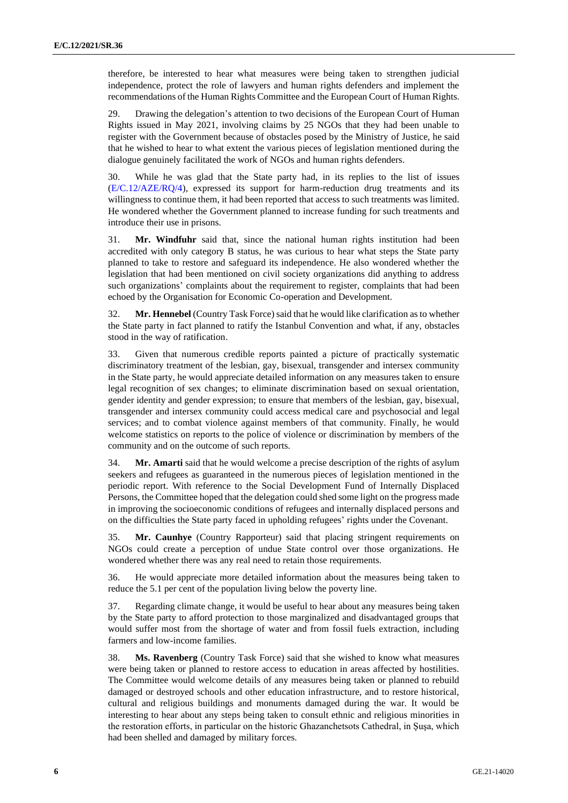therefore, be interested to hear what measures were being taken to strengthen judicial independence, protect the role of lawyers and human rights defenders and implement the recommendations of the Human Rights Committee and the European Court of Human Rights.

29. Drawing the delegation's attention to two decisions of the European Court of Human Rights issued in May 2021, involving claims by 25 NGOs that they had been unable to register with the Government because of obstacles posed by the Ministry of Justice, he said that he wished to hear to what extent the various pieces of legislation mentioned during the dialogue genuinely facilitated the work of NGOs and human rights defenders.

30. While he was glad that the State party had, in its replies to the list of issues [\(E/C.12/AZE/RQ/4\)](https://undocs.org/en/E/C.12/AZE/RQ/4), expressed its support for harm-reduction drug treatments and its willingness to continue them, it had been reported that access to such treatments was limited. He wondered whether the Government planned to increase funding for such treatments and introduce their use in prisons.

31. **Mr. Windfuhr** said that, since the national human rights institution had been accredited with only category B status, he was curious to hear what steps the State party planned to take to restore and safeguard its independence. He also wondered whether the legislation that had been mentioned on civil society organizations did anything to address such organizations' complaints about the requirement to register, complaints that had been echoed by the Organisation for Economic Co-operation and Development.

32. **Mr. Hennebel** (Country Task Force) said that he would like clarification as to whether the State party in fact planned to ratify the Istanbul Convention and what, if any, obstacles stood in the way of ratification.

33. Given that numerous credible reports painted a picture of practically systematic discriminatory treatment of the lesbian, gay, bisexual, transgender and intersex community in the State party, he would appreciate detailed information on any measures taken to ensure legal recognition of sex changes; to eliminate discrimination based on sexual orientation, gender identity and gender expression; to ensure that members of the lesbian, gay, bisexual, transgender and intersex community could access medical care and psychosocial and legal services; and to combat violence against members of that community. Finally, he would welcome statistics on reports to the police of violence or discrimination by members of the community and on the outcome of such reports.

34. **Mr. Amarti** said that he would welcome a precise description of the rights of asylum seekers and refugees as guaranteed in the numerous pieces of legislation mentioned in the periodic report. With reference to the Social Development Fund of Internally Displaced Persons, the Committee hoped that the delegation could shed some light on the progress made in improving the socioeconomic conditions of refugees and internally displaced persons and on the difficulties the State party faced in upholding refugees' rights under the Covenant.

35. **Mr. Caunhye** (Country Rapporteur) said that placing stringent requirements on NGOs could create a perception of undue State control over those organizations. He wondered whether there was any real need to retain those requirements.

36. He would appreciate more detailed information about the measures being taken to reduce the 5.1 per cent of the population living below the poverty line.

37. Regarding climate change, it would be useful to hear about any measures being taken by the State party to afford protection to those marginalized and disadvantaged groups that would suffer most from the shortage of water and from fossil fuels extraction, including farmers and low-income families.

38. **Ms. Ravenberg** (Country Task Force) said that she wished to know what measures were being taken or planned to restore access to education in areas affected by hostilities. The Committee would welcome details of any measures being taken or planned to rebuild damaged or destroyed schools and other education infrastructure, and to restore historical, cultural and religious buildings and monuments damaged during the war. It would be interesting to hear about any steps being taken to consult ethnic and religious minorities in the restoration efforts, in particular on the historic Ghazanchetsots Cathedral, in Şuşa, which had been shelled and damaged by military forces.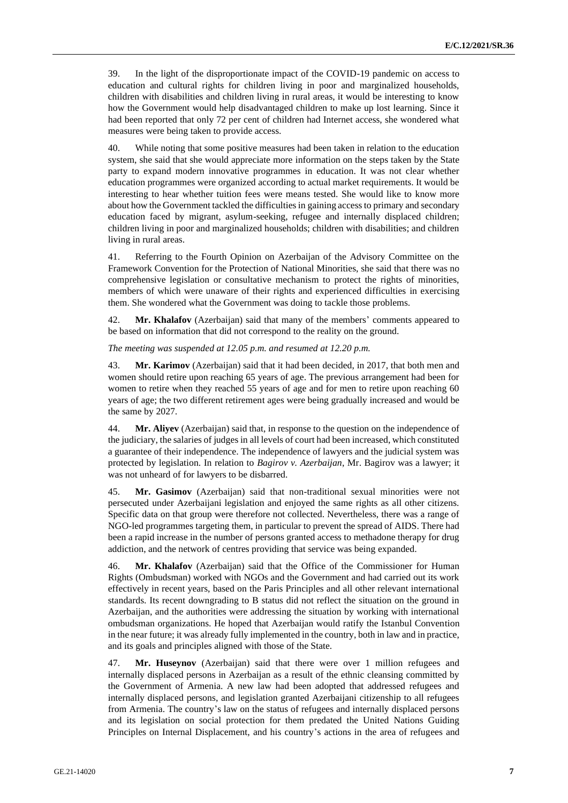39. In the light of the disproportionate impact of the COVID-19 pandemic on access to education and cultural rights for children living in poor and marginalized households, children with disabilities and children living in rural areas, it would be interesting to know how the Government would help disadvantaged children to make up lost learning. Since it had been reported that only 72 per cent of children had Internet access, she wondered what measures were being taken to provide access.

40. While noting that some positive measures had been taken in relation to the education system, she said that she would appreciate more information on the steps taken by the State party to expand modern innovative programmes in education. It was not clear whether education programmes were organized according to actual market requirements. It would be interesting to hear whether tuition fees were means tested. She would like to know more about how the Government tackled the difficulties in gaining access to primary and secondary education faced by migrant, asylum-seeking, refugee and internally displaced children; children living in poor and marginalized households; children with disabilities; and children living in rural areas.

41. Referring to the Fourth Opinion on Azerbaijan of the Advisory Committee on the Framework Convention for the Protection of National Minorities, she said that there was no comprehensive legislation or consultative mechanism to protect the rights of minorities, members of which were unaware of their rights and experienced difficulties in exercising them. She wondered what the Government was doing to tackle those problems.

42. **Mr. Khalafov** (Azerbaijan) said that many of the members' comments appeared to be based on information that did not correspond to the reality on the ground.

*The meeting was suspended at 12.05 p.m. and resumed at 12.20 p.m.*

43. **Mr. Karimov** (Azerbaijan) said that it had been decided, in 2017, that both men and women should retire upon reaching 65 years of age. The previous arrangement had been for women to retire when they reached 55 years of age and for men to retire upon reaching 60 years of age; the two different retirement ages were being gradually increased and would be the same by 2027.

44. **Mr. Aliyev** (Azerbaijan) said that, in response to the question on the independence of the judiciary, the salaries of judges in all levels of court had been increased, which constituted a guarantee of their independence. The independence of lawyers and the judicial system was protected by legislation. In relation to *Bagirov v. Azerbaijan*, Mr. Bagirov was a lawyer; it was not unheard of for lawyers to be disbarred.

45. **Mr. Gasimov** (Azerbaijan) said that non-traditional sexual minorities were not persecuted under Azerbaijani legislation and enjoyed the same rights as all other citizens. Specific data on that group were therefore not collected. Nevertheless, there was a range of NGO-led programmes targeting them, in particular to prevent the spread of AIDS. There had been a rapid increase in the number of persons granted access to methadone therapy for drug addiction, and the network of centres providing that service was being expanded.

46. **Mr. Khalafov** (Azerbaijan) said that the Office of the Commissioner for Human Rights (Ombudsman) worked with NGOs and the Government and had carried out its work effectively in recent years, based on the Paris Principles and all other relevant international standards. Its recent downgrading to B status did not reflect the situation on the ground in Azerbaijan, and the authorities were addressing the situation by working with international ombudsman organizations. He hoped that Azerbaijan would ratify the Istanbul Convention in the near future; it was already fully implemented in the country, both in law and in practice, and its goals and principles aligned with those of the State.

47. **Mr. Huseynov** (Azerbaijan) said that there were over 1 million refugees and internally displaced persons in Azerbaijan as a result of the ethnic cleansing committed by the Government of Armenia. A new law had been adopted that addressed refugees and internally displaced persons, and legislation granted Azerbaijani citizenship to all refugees from Armenia. The country's law on the status of refugees and internally displaced persons and its legislation on social protection for them predated the United Nations Guiding Principles on Internal Displacement, and his country's actions in the area of refugees and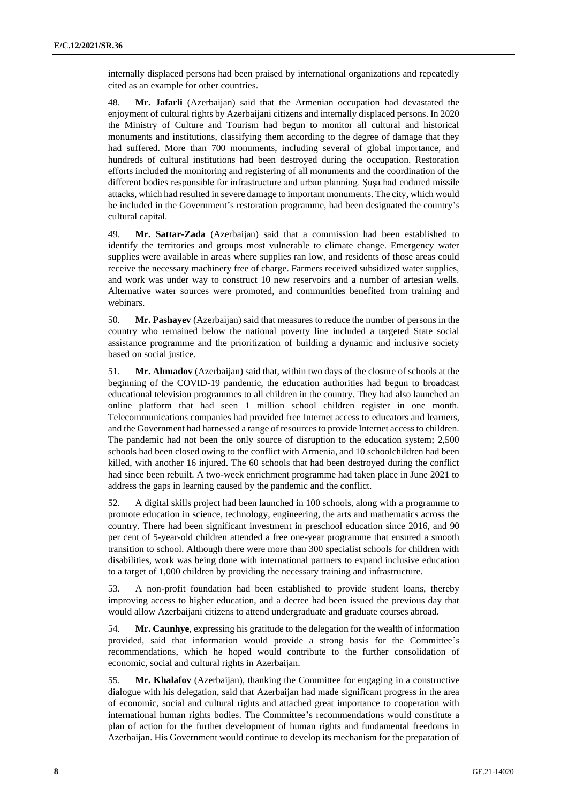internally displaced persons had been praised by international organizations and repeatedly cited as an example for other countries.

48. **Mr. Jafarli** (Azerbaijan) said that the Armenian occupation had devastated the enjoyment of cultural rights by Azerbaijani citizens and internally displaced persons. In 2020 the Ministry of Culture and Tourism had begun to monitor all cultural and historical monuments and institutions, classifying them according to the degree of damage that they had suffered. More than 700 monuments, including several of global importance, and hundreds of cultural institutions had been destroyed during the occupation. Restoration efforts included the monitoring and registering of all monuments and the coordination of the different bodies responsible for infrastructure and urban planning. Şuşa had endured missile attacks, which had resulted in severe damage to important monuments. The city, which would be included in the Government's restoration programme, had been designated the country's cultural capital.

49. **Mr. Sattar-Zada** (Azerbaijan) said that a commission had been established to identify the territories and groups most vulnerable to climate change. Emergency water supplies were available in areas where supplies ran low, and residents of those areas could receive the necessary machinery free of charge. Farmers received subsidized water supplies, and work was under way to construct 10 new reservoirs and a number of artesian wells. Alternative water sources were promoted, and communities benefited from training and webinars.

50. **Mr. Pashayev** (Azerbaijan) said that measures to reduce the number of persons in the country who remained below the national poverty line included a targeted State social assistance programme and the prioritization of building a dynamic and inclusive society based on social justice.

51. **Mr. Ahmadov** (Azerbaijan) said that, within two days of the closure of schools at the beginning of the COVID-19 pandemic, the education authorities had begun to broadcast educational television programmes to all children in the country. They had also launched an online platform that had seen 1 million school children register in one month. Telecommunications companies had provided free Internet access to educators and learners, and the Government had harnessed a range of resources to provide Internet access to children. The pandemic had not been the only source of disruption to the education system; 2,500 schools had been closed owing to the conflict with Armenia, and 10 schoolchildren had been killed, with another 16 injured. The 60 schools that had been destroyed during the conflict had since been rebuilt. A two-week enrichment programme had taken place in June 2021 to address the gaps in learning caused by the pandemic and the conflict.

52. A digital skills project had been launched in 100 schools, along with a programme to promote education in science, technology, engineering, the arts and mathematics across the country. There had been significant investment in preschool education since 2016, and 90 per cent of 5-year-old children attended a free one-year programme that ensured a smooth transition to school. Although there were more than 300 specialist schools for children with disabilities, work was being done with international partners to expand inclusive education to a target of 1,000 children by providing the necessary training and infrastructure.

53. A non-profit foundation had been established to provide student loans, thereby improving access to higher education, and a decree had been issued the previous day that would allow Azerbaijani citizens to attend undergraduate and graduate courses abroad.

54. **Mr. Caunhye**, expressing his gratitude to the delegation for the wealth of information provided, said that information would provide a strong basis for the Committee's recommendations, which he hoped would contribute to the further consolidation of economic, social and cultural rights in Azerbaijan.

55. **Mr. Khalafov** (Azerbaijan), thanking the Committee for engaging in a constructive dialogue with his delegation, said that Azerbaijan had made significant progress in the area of economic, social and cultural rights and attached great importance to cooperation with international human rights bodies. The Committee's recommendations would constitute a plan of action for the further development of human rights and fundamental freedoms in Azerbaijan. His Government would continue to develop its mechanism for the preparation of